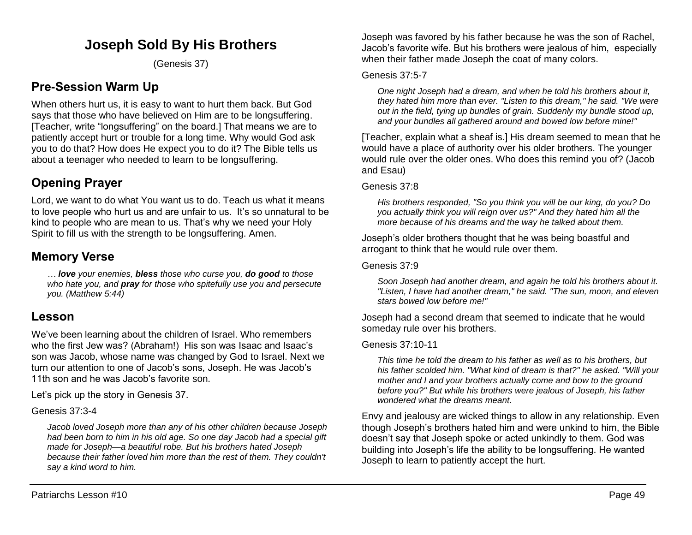# **Joseph Sold By His Brothers**

(Genesis 37)

## **Pre-Session Warm Up**

When others hurt us, it is easy to want to hurt them back. But God says that those who have believed on Him are to be longsuffering. [Teacher, write "longsuffering" on the board.] That means we are to patiently accept hurt or trouble for a long time. Why would God ask you to do that? How does He expect you to do it? The Bible tells us about a teenager who needed to learn to be longsuffering.

# **Opening Prayer**

Lord, we want to do what You want us to do. Teach us what it means to love people who hurt us and are unfair to us. It's so unnatural to be kind to people who are mean to us. That's why we need your Holy Spirit to fill us with the strength to be longsuffering. Amen.

## **Memory Verse**

*… love your enemies, bless those who curse you, do good to those who hate you, and pray for those who spitefully use you and persecute you. (Matthew 5:44)*

## **Lesson**

We've been learning about the children of Israel. Who remembers who the first Jew was? (Abraham!) His son was Isaac and Isaac's son was Jacob, whose name was changed by God to Israel. Next we turn our attention to one of Jacob's sons, Joseph. He was Jacob's 11th son and he was Jacob's favorite son.

Let's pick up the story in Genesis 37.

Genesis 37:3-4

*Jacob loved Joseph more than any of his other children because Joseph had been born to him in his old age. So one day Jacob had a special gift made for Joseph—a beautiful robe. But his brothers hated Joseph because their father loved him more than the rest of them. They couldn't say a kind word to him.*

Joseph was favored by his father because he was the son of Rachel, Jacob's favorite wife. But his brothers were jealous of him, especially when their father made Joseph the coat of many colors.

#### Genesis 37:5-7

*One night Joseph had a dream, and when he told his brothers about it, they hated him more than ever. "Listen to this dream," he said. "We were out in the field, tying up bundles of grain. Suddenly my bundle stood up, and your bundles all gathered around and bowed low before mine!"* 

[Teacher, explain what a sheaf is.] His dream seemed to mean that he would have a place of authority over his older brothers. The younger would rule over the older ones. Who does this remind you of? (Jacob and Esau)

#### Genesis 37:8

*His brothers responded, "So you think you will be our king, do you? Do you actually think you will reign over us?" And they hated him all the more because of his dreams and the way he talked about them.* 

Joseph's older brothers thought that he was being boastful and arrogant to think that he would rule over them.

#### Genesis 37:9

*Soon Joseph had another dream, and again he told his brothers about it. "Listen, I have had another dream," he said. "The sun, moon, and eleven stars bowed low before me!"*

Joseph had a second dream that seemed to indicate that he would someday rule over his brothers.

#### Genesis 37:10-11

*This time he told the dream to his father as well as to his brothers, but his father scolded him. "What kind of dream is that?" he asked. "Will your mother and I and your brothers actually come and bow to the ground before you?" But while his brothers were jealous of Joseph, his father wondered what the dreams meant.*

Envy and jealousy are wicked things to allow in any relationship. Even though Joseph's brothers hated him and were unkind to him, the Bible doesn't say that Joseph spoke or acted unkindly to them. God was building into Joseph's life the ability to be longsuffering. He wanted Joseph to learn to patiently accept the hurt.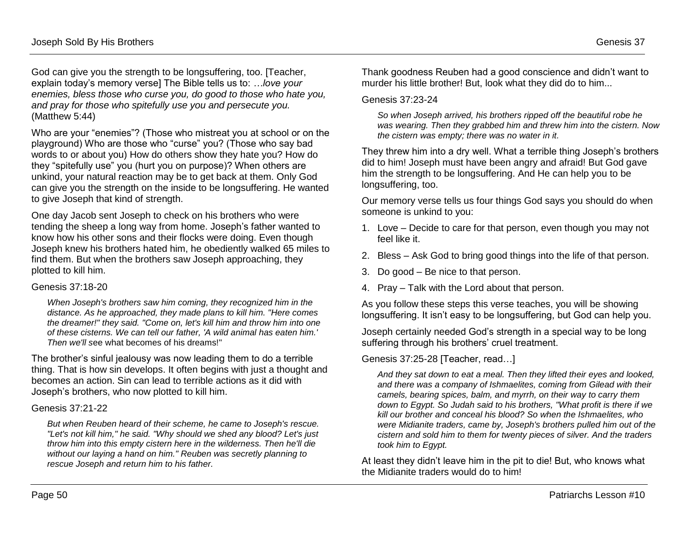God can give you the strength to be longsuffering, too. [Teacher, explain today's memory verse] The Bible tells us to: *…love your enemies, bless those who curse you, do good to those who hate you, and pray for those who spitefully use you and persecute you.*  (Matthew 5:44)

Who are your "enemies"? (Those who mistreat you at school or on the playground) Who are those who "curse" you? (Those who say bad words to or about you) How do others show they hate you? How do they "spitefully use" you (hurt you on purpose)? When others are unkind, your natural reaction may be to get back at them. Only God can give you the strength on the inside to be longsuffering. He wanted to give Joseph that kind of strength.

One day Jacob sent Joseph to check on his brothers who were tending the sheep a long way from home. Joseph's father wanted to know how his other sons and their flocks were doing. Even though Joseph knew his brothers hated him, he obediently walked 65 miles to find them. But when the brothers saw Joseph approaching, they plotted to kill him.

#### Genesis 37:18-20

*When Joseph's brothers saw him coming, they recognized him in the distance. As he approached, they made plans to kill him. "Here comes the dreamer!" they said. "Come on, let's kill him and throw him into one of these cisterns. We can tell our father, 'A wild animal has eaten him.' Then we'll s*ee what becomes of his dreams!"

The brother's sinful jealousy was now leading them to do a terrible thing. That is how sin develops. It often begins with just a thought and becomes an action. Sin can lead to terrible actions as it did with Joseph's brothers, who now plotted to kill him.

#### Genesis 37:21-22

*But when Reuben heard of their scheme, he came to Joseph's rescue. "Let's not kill him," he said. "Why should we shed any blood? Let's just throw him into this empty cistern here in the wilderness. Then he'll die without our laying a hand on him." Reuben was secretly planning to rescue Joseph and return him to his father.*

Thank goodness Reuben had a good conscience and didn't want to murder his little brother! But, look what they did do to him...

#### Genesis 37:23-24

*So when Joseph arrived, his brothers ripped off the beautiful robe he was wearing. Then they grabbed him and threw him into the cistern. Now the cistern was empty; there was no water in it.*

They threw him into a dry well. What a terrible thing Joseph's brothers did to him! Joseph must have been angry and afraid! But God gave him the strength to be longsuffering. And He can help you to be longsuffering, too.

Our memory verse tells us four things God says you should do when someone is unkind to you:

- 1. Love Decide to care for that person, even though you may not feel like it.
- 2. Bless Ask God to bring good things into the life of that person.
- 3. Do good Be nice to that person.
- 4. Pray Talk with the Lord about that person.

As you follow these steps this verse teaches, you will be showing longsuffering. It isn't easy to be longsuffering, but God can help you.

Joseph certainly needed God's strength in a special way to be long suffering through his brothers' cruel treatment.

#### Genesis 37:25-28 [Teacher, read…]

*And they sat down to eat a meal. Then they lifted their eyes and looked, and there was a company of Ishmaelites, coming from Gilead with their camels, bearing spices, balm, and myrrh, on their way to carry them down to Egypt. So Judah said to his brothers, "What profit is there if we kill our brother and conceal his blood? So when the Ishmaelites, who were Midianite traders, came by, Joseph's brothers pulled him out of the cistern and sold him to them for twenty pieces of silver. And the traders took him to Egypt.*

At least they didn't leave him in the pit to die! But, who knows what the Midianite traders would do to him!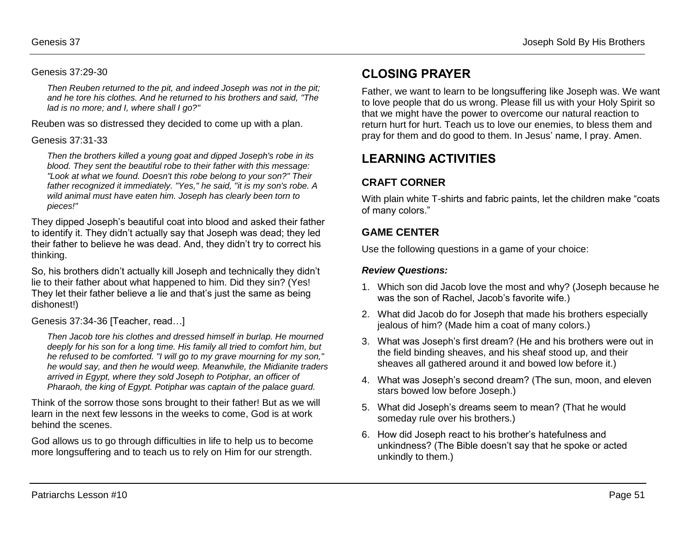#### Genesis 37:29-30

*Then Reuben returned to the pit, and indeed Joseph was not in the pit; and he tore his clothes. And he returned to his brothers and said, "The lad is no more; and I, where shall I go?"* 

Reuben was so distressed they decided to come up with a plan.

#### Genesis 37:31-33

*Then the brothers killed a young goat and dipped Joseph's robe in its blood. They sent the beautiful robe to their father with this message: "Look at what we found. Doesn't this robe belong to your son?" Their father recognized it immediately. "Yes," he said, "it is my son's robe. A wild animal must have eaten him. Joseph has clearly been torn to pieces!"* 

They dipped Joseph's beautiful coat into blood and asked their father to identify it. They didn't actually say that Joseph was dead; they led their father to believe he was dead. And, they didn't try to correct his thinking.

So, his brothers didn't actually kill Joseph and technically they didn't lie to their father about what happened to him. Did they sin? (Yes! They let their father believe a lie and that's just the same as being dishonest!)

Genesis 37:34-36 [Teacher, read…]

*Then Jacob tore his clothes and dressed himself in burlap. He mourned deeply for his son for a long time. His family all tried to comfort him, but he refused to be comforted. "I will go to my grave mourning for my son," he would say, and then he would weep. Meanwhile, the Midianite traders arrived in Egypt, where they sold Joseph to Potiphar, an officer of Pharaoh, the king of Egypt. Potiphar was captain of the palace guard.* 

Think of the sorrow those sons brought to their father! But as we will learn in the next few lessons in the weeks to come, God is at work behind the scenes.

God allows us to go through difficulties in life to help us to become more longsuffering and to teach us to rely on Him for our strength.

# **CLOSING PRAYER**

Father, we want to learn to be longsuffering like Joseph was. We want to love people that do us wrong. Please fill us with your Holy Spirit so that we might have the power to overcome our natural reaction to return hurt for hurt. Teach us to love our enemies, to bless them and pray for them and do good to them. In Jesus' name, I pray. Amen.

# **LEARNING ACTIVITIES**

## **CRAFT CORNER**

With plain white T-shirts and fabric paints, let the children make "coats of many colors."

## **GAME CENTER**

Use the following questions in a game of your choice:

#### *Review Questions:*

- 1. Which son did Jacob love the most and why? (Joseph because he was the son of Rachel, Jacob's favorite wife.)
- 2. What did Jacob do for Joseph that made his brothers especially jealous of him? (Made him a coat of many colors.)
- 3. What was Joseph's first dream? (He and his brothers were out in the field binding sheaves, and his sheaf stood up, and their sheaves all gathered around it and bowed low before it.)
- 4. What was Joseph's second dream? (The sun, moon, and eleven stars bowed low before Joseph.)
- 5. What did Joseph's dreams seem to mean? (That he would someday rule over his brothers.)
- 6. How did Joseph react to his brother's hatefulness and unkindness? (The Bible doesn't say that he spoke or acted unkindly to them.)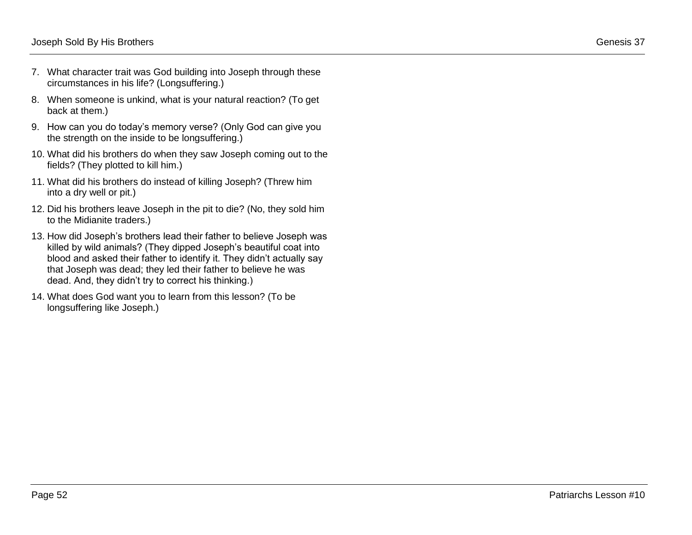- 7. What character trait was God building into Joseph through these circumstances in his life? (Longsuffering.)
- 8. When someone is unkind, what is your natural reaction? (To get back at them.)
- 9. How can you do today's memory verse? (Only God can give you the strength on the inside to be longsuffering.)
- 10. What did his brothers do when they saw Joseph coming out to the fields? (They plotted to kill him.)
- 11. What did his brothers do instead of killing Joseph? (Threw him into a dry well or pit.)
- 12. Did his brothers leave Joseph in the pit to die? (No, they sold him to the Midianite traders.)
- 13. How did Joseph's brothers lead their father to believe Joseph was killed by wild animals? (They dipped Joseph's beautiful coat into blood and asked their father to identify it. They didn't actually say that Joseph was dead; they led their father to believe he was dead. And, they didn't try to correct his thinking.)
- 14. What does God want you to learn from this lesson? (To be longsuffering like Joseph.)